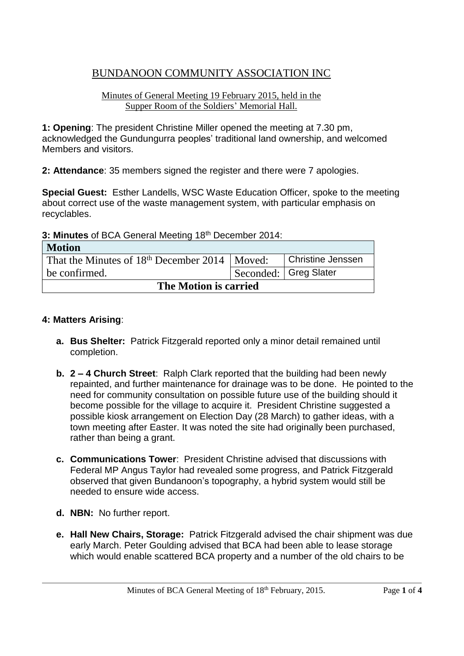# BUNDANOON COMMUNITY ASSOCIATION INC

#### Minutes of General Meeting 19 February 2015, held in the Supper Room of the Soldiers' Memorial Hall.

**1: Opening**: The president Christine Miller opened the meeting at 7.30 pm, acknowledged the Gundungurra peoples' traditional land ownership, and welcomed Members and visitors.

**2: Attendance**: 35 members signed the register and there were 7 apologies.

**Special Guest:** Esther Landells, WSC Waste Education Officer, spoke to the meeting about correct use of the waste management system, with particular emphasis on recyclables.

**3: Minutes** of BCA General Meeting 18th December 2014:

| <b>Motion</b>                                     |  |                          |  |
|---------------------------------------------------|--|--------------------------|--|
| That the Minutes of $18th$ December 2014   Moved: |  | <b>Christine Jenssen</b> |  |
| be confirmed.                                     |  | Seconded:   Greg Slater  |  |
| The Motion is carried                             |  |                          |  |

### **4: Matters Arising**:

- **a. Bus Shelter:** Patrick Fitzgerald reported only a minor detail remained until completion.
- **b. 2 – 4 Church Street**: Ralph Clark reported that the building had been newly repainted, and further maintenance for drainage was to be done. He pointed to the need for community consultation on possible future use of the building should it become possible for the village to acquire it. President Christine suggested a possible kiosk arrangement on Election Day (28 March) to gather ideas, with a town meeting after Easter. It was noted the site had originally been purchased, rather than being a grant.
- **c. Communications Tower**: President Christine advised that discussions with Federal MP Angus Taylor had revealed some progress, and Patrick Fitzgerald observed that given Bundanoon's topography, a hybrid system would still be needed to ensure wide access.
- **d. NBN:** No further report.
- **e. Hall New Chairs, Storage:** Patrick Fitzgerald advised the chair shipment was due early March. Peter Goulding advised that BCA had been able to lease storage which would enable scattered BCA property and a number of the old chairs to be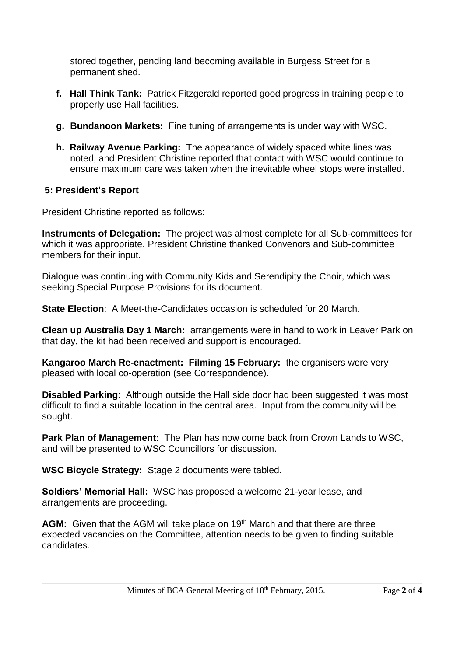stored together, pending land becoming available in Burgess Street for a permanent shed.

- **f. Hall Think Tank:** Patrick Fitzgerald reported good progress in training people to properly use Hall facilities.
- **g. Bundanoon Markets:** Fine tuning of arrangements is under way with WSC.
- **h. Railway Avenue Parking:** The appearance of widely spaced white lines was noted, and President Christine reported that contact with WSC would continue to ensure maximum care was taken when the inevitable wheel stops were installed.

## **5: President's Report**

President Christine reported as follows:

**Instruments of Delegation:** The project was almost complete for all Sub-committees for which it was appropriate. President Christine thanked Convenors and Sub-committee members for their input.

Dialogue was continuing with Community Kids and Serendipity the Choir, which was seeking Special Purpose Provisions for its document.

**State Election**: A Meet-the-Candidates occasion is scheduled for 20 March.

**Clean up Australia Day 1 March:** arrangements were in hand to work in Leaver Park on that day, the kit had been received and support is encouraged.

**Kangaroo March Re-enactment: Filming 15 February:** the organisers were very pleased with local co-operation (see Correspondence).

**Disabled Parking**: Although outside the Hall side door had been suggested it was most difficult to find a suitable location in the central area. Input from the community will be sought.

**Park Plan of Management:** The Plan has now come back from Crown Lands to WSC, and will be presented to WSC Councillors for discussion.

**WSC Bicycle Strategy:** Stage 2 documents were tabled.

**Soldiers' Memorial Hall:** WSC has proposed a welcome 21-year lease, and arrangements are proceeding.

**AGM:** Given that the AGM will take place on 19<sup>th</sup> March and that there are three expected vacancies on the Committee, attention needs to be given to finding suitable candidates.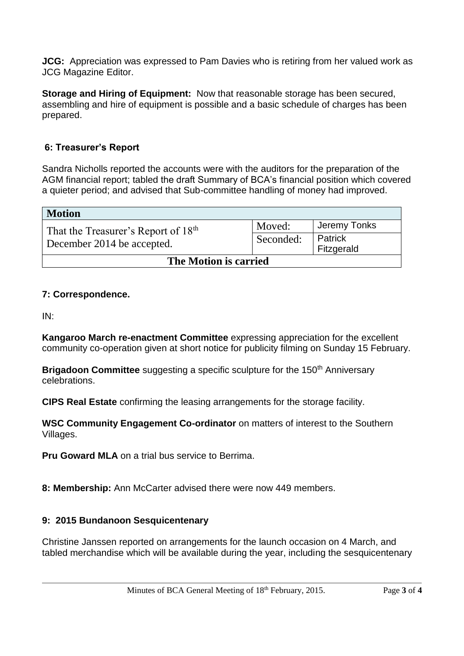**JCG:** Appreciation was expressed to Pam Davies who is retiring from her valued work as JCG Magazine Editor.

**Storage and Hiring of Equipment:** Now that reasonable storage has been secured, assembling and hire of equipment is possible and a basic schedule of charges has been prepared.

## **6: Treasurer's Report**

Sandra Nicholls reported the accounts were with the auditors for the preparation of the AGM financial report; tabled the draft Summary of BCA's financial position which covered a quieter period; and advised that Sub-committee handling of money had improved.

| Motion                                                                        |           |              |  |
|-------------------------------------------------------------------------------|-----------|--------------|--|
| That the Treasurer's Report of 18 <sup>th</sup><br>December 2014 be accepted. | Moved:    | Jeremy Tonks |  |
|                                                                               | Seconded: | Patrick      |  |
|                                                                               |           | Fitzgerald   |  |
| The Motion is carried                                                         |           |              |  |

## **7: Correspondence.**

IN:

**Kangaroo March re-enactment Committee** expressing appreciation for the excellent community co-operation given at short notice for publicity filming on Sunday 15 February.

**Brigadoon Committee** suggesting a specific sculpture for the 150<sup>th</sup> Anniversary celebrations.

**CIPS Real Estate** confirming the leasing arrangements for the storage facility.

**WSC Community Engagement Co-ordinator** on matters of interest to the Southern Villages.

**Pru Goward MLA** on a trial bus service to Berrima.

**8: Membership:** Ann McCarter advised there were now 449 members.

### **9: 2015 Bundanoon Sesquicentenary**

Christine Janssen reported on arrangements for the launch occasion on 4 March, and tabled merchandise which will be available during the year, including the sesquicentenary